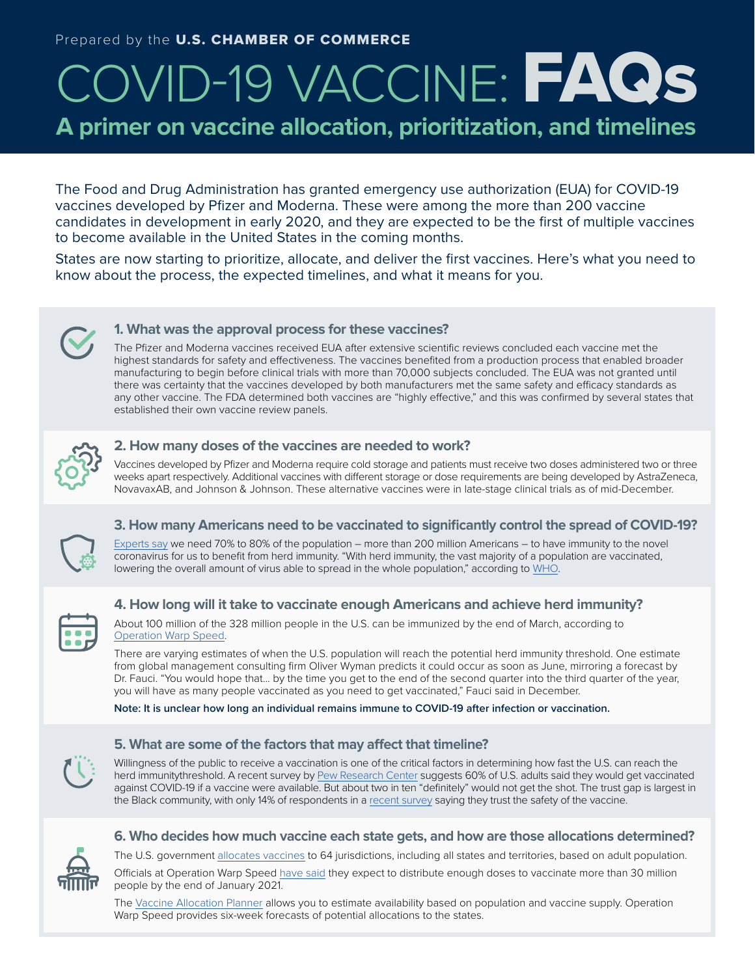# COVID-19 VACCINE: FAQs **A primer on vaccine allocation, prioritization, and timelines**

The Food and Drug Administration has granted emergency use authorization (EUA) for COVID-19 vaccines developed by Pfizer and Moderna. These were among the more than 200 vaccine candidates in development in early 2020, and they are expected to be the first of multiple vaccines to become available in the United States in the coming months.

States are now starting to prioritize, allocate, and deliver the first vaccines. Here's what you need to know about the process, the expected timelines, and what it means for you.



# **1. What was the approval process for these vaccines?**

The Pfizer and Moderna vaccines received EUA after extensive scientific reviews concluded each vaccine met the highest standards for safety and effectiveness. The vaccines benefited from a production process that enabled broader manufacturing to begin before clinical trials with more than 70,000 subjects concluded. The EUA was not granted until there was certainty that the vaccines developed by both manufacturers met the same safety and efficacy standards as any other vaccine. The FDA determined both vaccines are "highly effective," and this was confirmed by several states that established their own vaccine review panels.



#### **2. How many doses of the vaccines are needed to work?**

Vaccines developed by Pfizer and Moderna require cold storage and patients must receive two doses administered two or three weeks apart respectively. Additional vaccines with different storage or dose requirements are being developed by AstraZeneca, NovavaxAB, and Johnson & Johnson. These alternative vaccines were in late-stage clinical trials as of mid-December.



# **3. How many Americans need to be vaccinated to significantly control the spread of COVID-19?**

Experts say we need 70% to 80% of the population – more than 200 million Americans – to have immunity to the novel coronavirus for us to benefit from herd immunity. "With herd immunity, the vast majority of a population are vaccinated, lowering the overall amount of virus able to spread in the whole population," according to WHO.



# **4. How long will it take to vaccinate enough Americans and achieve herd immunity?**

About 100 million of the 328 million people in the U.S. can be immunized by the end of March, according to Operation Warp Speed.

There are varying estimates of when the U.S. population will reach the potential herd immunity threshold. One estimate from global management consulting firm Oliver Wyman predicts it could occur as soon as June, mirroring a forecast by Dr. Fauci. "You would hope that... by the time you get to the end of the second quarter into the third quarter of the year, you will have as many people vaccinated as you need to get vaccinated," Fauci said in December.

**Note: It is unclear how long an individual remains immune to COVID-19 after infection or vaccination.**



# **5. What are some of the factors that may affect that timeline?**

Willingness of the public to receive a vaccination is one of the critical factors in determining how fast the U.S. can reach the herd immunitythreshold. A recent survey by Pew Research Center suggests 60% of U.S. adults said they would get vaccinated against COVID-19 if a vaccine were available. But about two in ten "definitely" would not get the shot. The trust gap is largest in the Black community, with only 14% of respondents in a recent survey saying they trust the safety of the vaccine.



#### **6. Who decides how much vaccine each state gets, and how are those allocations determined?**

The U.S. government allocates vaccines to 64 jurisdictions, including all states and territories, based on adult population.

Officials at Operation Warp Speed have said they expect to distribute enough doses to vaccinate more than 30 million people by the end of January 2021.

The Vaccine Allocation Planner allows you to estimate availability based on population and vaccine supply. Operation Warp Speed provides six-week forecasts of potential allocations to the states.